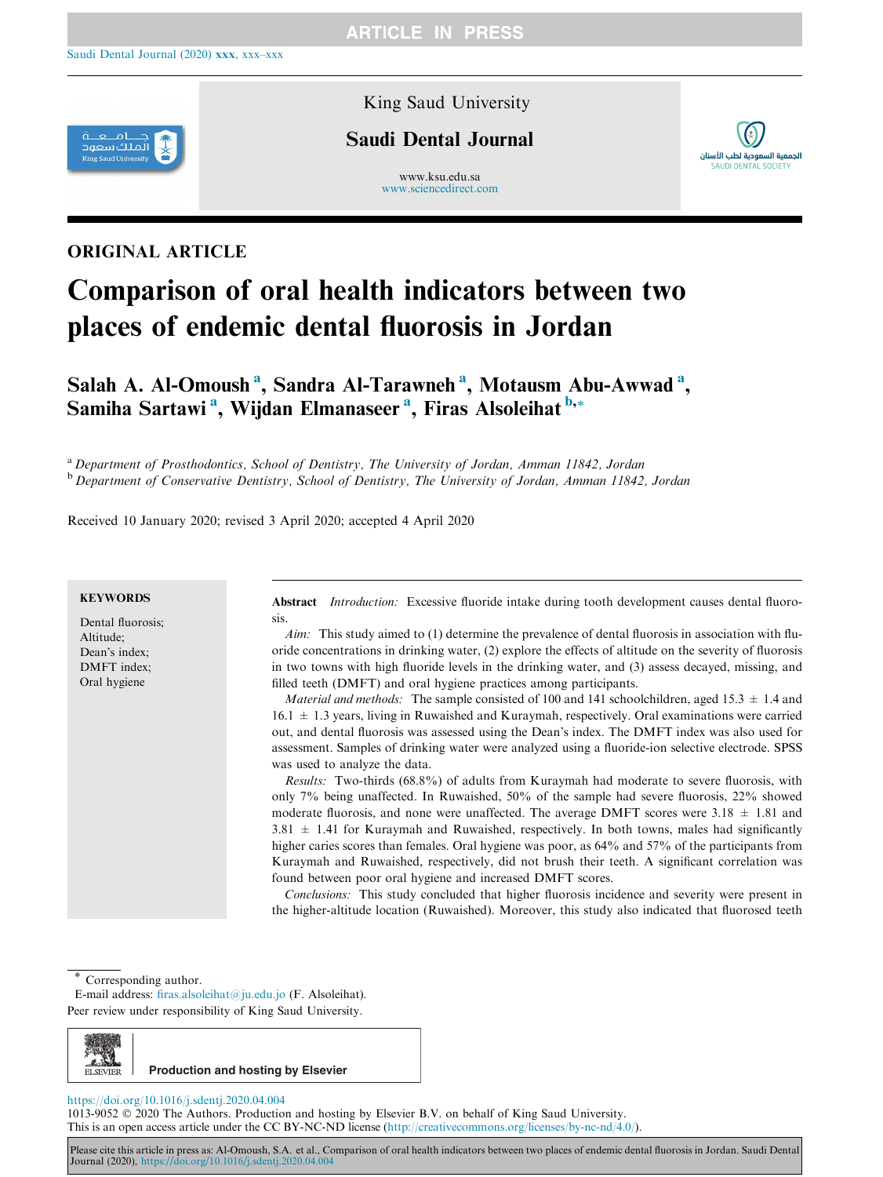

King Saud University

# Saudi Dental Journal

www.ksu.edu.sa [www.sciencedirect.com](http://www.sciencedirect.com/science/journal/10139052)



# ORIGINAL ARTICLE

# Comparison of oral health indicators between two places of endemic dental fluorosis in Jordan

Salah A. Al-Omoush<sup>a</sup>, Sandra Al-Tarawneh<sup>a</sup>, Motausm Abu-Awwad<sup>a</sup>, Samiha Sartawi <sup>a</sup>, Wijdan Elmanaseer <sup>a</sup>, Firas Alsoleihat <sup>b,</sup>\*

<sup>a</sup> Department of Prosthodontics, School of Dentistry, The University of Jordan, Amman 11842, Jordan b Department of Conservative Dentistry, School of Dentistry, The University of Jordan, Amman 11842, Jordan

Received 10 January 2020; revised 3 April 2020; accepted 4 April 2020

#### **KEYWORDS**

Dental fluorosis; Altitude; Dean's index; DMFT index; Oral hygiene

Abstract *Introduction:* Excessive fluoride intake during tooth development causes dental fluorosis.

 $A$ im: This study aimed to (1) determine the prevalence of dental fluorosis in association with fluoride concentrations in drinking water, (2) explore the effects of altitude on the severity of fluorosis in two towns with high fluoride levels in the drinking water, and (3) assess decayed, missing, and filled teeth (DMFT) and oral hygiene practices among participants.

*Material and methods:* The sample consisted of 100 and 141 schoolchildren, aged 15.3  $\pm$  1.4 and  $16.1 \pm 1.3$  years, living in Ruwaished and Kuraymah, respectively. Oral examinations were carried out, and dental fluorosis was assessed using the Dean's index. The DMFT index was also used for assessment. Samples of drinking water were analyzed using a fluoride-ion selective electrode. SPSS was used to analyze the data.

Results: Two-thirds (68.8%) of adults from Kuraymah had moderate to severe fluorosis, with only 7% being unaffected. In Ruwaished, 50% of the sample had severe fluorosis, 22% showed moderate fluorosis, and none were unaffected. The average DMFT scores were  $3.18 \pm 1.81$  and  $3.81 \pm 1.41$  for Kuraymah and Ruwaished, respectively. In both towns, males had significantly higher caries scores than females. Oral hygiene was poor, as  $64\%$  and  $57\%$  of the participants from Kuraymah and Ruwaished, respectively, did not brush their teeth. A significant correlation was found between poor oral hygiene and increased DMFT scores.

Conclusions: This study concluded that higher fluorosis incidence and severity were present in the higher-altitude location (Ruwaished). Moreover, this study also indicated that fluorosed teeth

Corresponding author.

E-mail address: [firas.alsoleihat@ju.edu.jo](mailto:firas.alsoleihat@ju.edu.jo) (F. Alsoleihat). Peer review under responsibility of King Saud University.



#### <https://doi.org/10.1016/j.sdentj.2020.04.004>

1013-9052 2020 The Authors. Production and hosting by Elsevier B.V. on behalf of King Saud University. This is an open access article under the CC BY-NC-ND license [\(http://creativecommons.org/licenses/by-nc-nd/4.0/](http://creativecommons.org/licenses/by-nc-nd/4.0/)).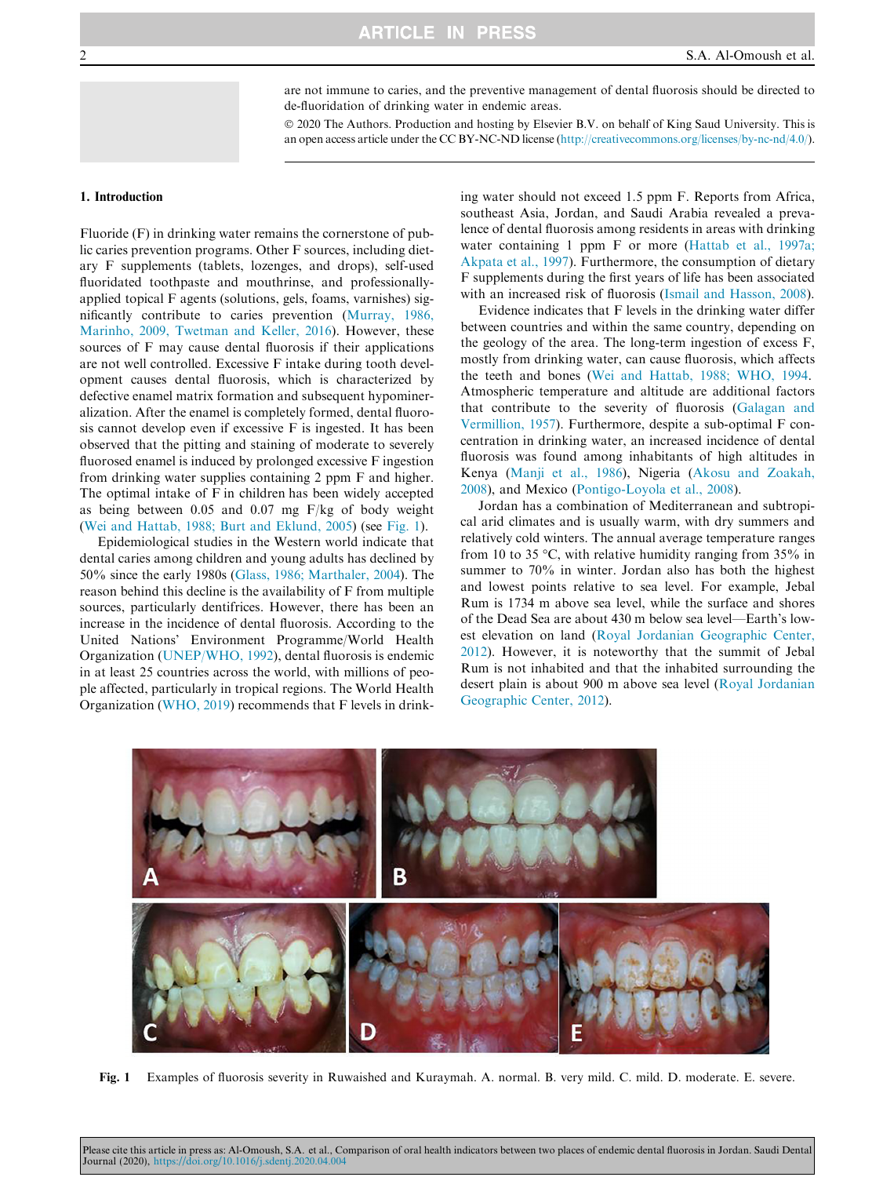are not immune to caries, and the preventive management of dental fluorosis should be directed to de-fluoridation of drinking water in endemic areas.

 2020 The Authors. Production and hosting by Elsevier B.V. on behalf of King Saud University. This is an open access article under the CC BY-NC-ND license [\(http://creativecommons.org/licenses/by-nc-nd/4.0/](http://creativecommons.org/licenses/by-nc-nd/4.0/)).

#### 1. Introduction

Fluoride (F) in drinking water remains the cornerstone of public caries prevention programs. Other F sources, including dietary F supplements (tablets, lozenges, and drops), self-used fluoridated toothpaste and mouthrinse, and professionallyapplied topical F agents (solutions, gels, foams, varnishes) significantly contribute to caries prevention [\(Murray, 1986,](#page-5-0) [Marinho, 2009, Twetman and Keller, 2016\)](#page-5-0). However, these sources of F may cause dental fluorosis if their applications are not well controlled. Excessive F intake during tooth development causes dental fluorosis, which is characterized by defective enamel matrix formation and subsequent hypomineralization. After the enamel is completely formed, dental fluorosis cannot develop even if excessive F is ingested. It has been observed that the pitting and staining of moderate to severely fluorosed enamel is induced by prolonged excessive F ingestion from drinking water supplies containing 2 ppm F and higher. The optimal intake of F in children has been widely accepted as being between 0.05 and 0.07 mg F/kg of body weight ([Wei and Hattab, 1988; Burt and Eklund, 2005\)](#page-5-0) (see Fig. 1).

Epidemiological studies in the Western world indicate that dental caries among children and young adults has declined by 50% since the early 1980s ([Glass, 1986; Marthaler, 2004\)](#page-4-0). The reason behind this decline is the availability of F from multiple sources, particularly dentifrices. However, there has been an increase in the incidence of dental fluorosis. According to the United Nations' Environment Programme/World Health Organization ([UNEP/WHO, 1992](#page-5-0)), dental fluorosis is endemic in at least 25 countries across the world, with millions of people affected, particularly in tropical regions. The World Health Organization [\(WHO, 2019](#page-5-0)) recommends that F levels in drinking water should not exceed 1.5 ppm F. Reports from Africa, southeast Asia, Jordan, and Saudi Arabia revealed a prevalence of dental fluorosis among residents in areas with drinking water containing 1 ppm F or more ([Hattab et al., 1997a;](#page-5-0) [Akpata et al., 1997\)](#page-5-0). Furthermore, the consumption of dietary F supplements during the first years of life has been associated with an increased risk of fluorosis [\(Ismail and Hasson, 2008](#page-5-0)).

Evidence indicates that F levels in the drinking water differ between countries and within the same country, depending on the geology of the area. The long-term ingestion of excess F, mostly from drinking water, can cause fluorosis, which affects the teeth and bones [\(Wei and Hattab, 1988; WHO, 1994](#page-5-0). Atmospheric temperature and altitude are additional factors that contribute to the severity of fluorosis [\(Galagan and](#page-4-0) [Vermillion, 1957\)](#page-4-0). Furthermore, despite a sub-optimal F concentration in drinking water, an increased incidence of dental fluorosis was found among inhabitants of high altitudes in Kenya [\(Manji et al., 1986\)](#page-5-0), Nigeria ([Akosu and Zoakah,](#page-4-0) [2008\)](#page-4-0), and Mexico [\(Pontigo-Loyola et al., 2008](#page-5-0)).

Jordan has a combination of Mediterranean and subtropical arid climates and is usually warm, with dry summers and relatively cold winters. The annual average temperature ranges from 10 to 35 °C, with relative humidity ranging from 35% in summer to 70% in winter. Jordan also has both the highest and lowest points relative to sea level. For example, Jebal Rum is 1734 m above sea level, while the surface and shores of the Dead Sea are about 430 m below sea level—Earth's lowest elevation on land [\(Royal Jordanian Geographic Center,](#page-5-0) [2012\)](#page-5-0). However, it is noteworthy that the summit of Jebal Rum is not inhabited and that the inhabited surrounding the desert plain is about 900 m above sea level ([Royal Jordanian](#page-5-0) [Geographic Center, 2012\)](#page-5-0).



Fig. 1 Examples of fluorosis severity in Ruwaished and Kuraymah. A. normal. B. very mild. C. mild. D. moderate. E. severe.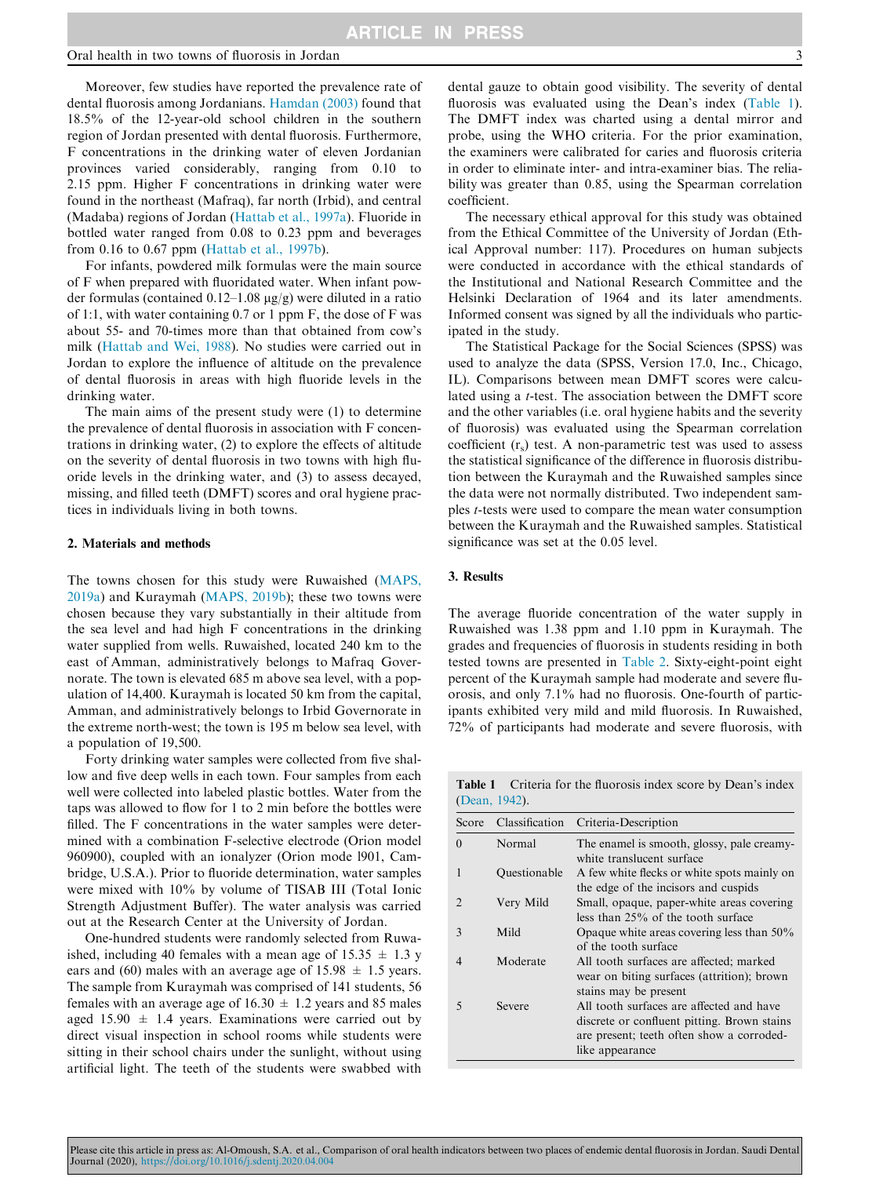Moreover, few studies have reported the prevalence rate of dental fluorosis among Jordanians. [Hamdan \(2003\)](#page-4-0) found that 18.5% of the 12-year-old school children in the southern region of Jordan presented with dental fluorosis. Furthermore, F concentrations in the drinking water of eleven Jordanian provinces varied considerably, ranging from 0.10 to 2.15 ppm. Higher F concentrations in drinking water were found in the northeast (Mafraq), far north (Irbid), and central (Madaba) regions of Jordan [\(Hattab et al., 1997a\)](#page-5-0). Fluoride in bottled water ranged from 0.08 to 0.23 ppm and beverages from 0.16 to 0.67 ppm ([Hattab et al., 1997b\)](#page-5-0).

For infants, powdered milk formulas were the main source of F when prepared with fluoridated water. When infant powder formulas (contained  $0.12-1.08 \mu g/g$ ) were diluted in a ratio of 1:1, with water containing 0.7 or 1 ppm F, the dose of F was about 55- and 70-times more than that obtained from cow's milk ([Hattab and Wei, 1988](#page-5-0)). No studies were carried out in Jordan to explore the influence of altitude on the prevalence of dental fluorosis in areas with high fluoride levels in the drinking water.

The main aims of the present study were (1) to determine the prevalence of dental fluorosis in association with F concentrations in drinking water, (2) to explore the effects of altitude on the severity of dental fluorosis in two towns with high fluoride levels in the drinking water, and (3) to assess decayed, missing, and filled teeth (DMFT) scores and oral hygiene practices in individuals living in both towns.

#### 2. Materials and methods

The towns chosen for this study were Ruwaished ([MAPS,](#page-5-0) [2019a\)](#page-5-0) and Kuraymah ([MAPS, 2019b](#page-5-0)); these two towns were chosen because they vary substantially in their altitude from the sea level and had high F concentrations in the drinking water supplied from wells. Ruwaished, located 240 km to the east of Amman, administratively belongs to Mafraq Governorate. The town is elevated 685 m above sea level, with a population of 14,400. Kuraymah is located 50 km from the capital, Amman, and administratively belongs to Irbid Governorate in the extreme north-west; the town is 195 m below sea level, with a population of 19,500.

Forty drinking water samples were collected from five shallow and five deep wells in each town. Four samples from each well were collected into labeled plastic bottles. Water from the taps was allowed to flow for 1 to 2 min before the bottles were filled. The F concentrations in the water samples were determined with a combination F-selective electrode (Orion model 960900), coupled with an ionalyzer (Orion mode l901, Cambridge, U.S.A.). Prior to fluoride determination, water samples were mixed with 10% by volume of TISAB III (Total Ionic Strength Adjustment Buffer). The water analysis was carried out at the Research Center at the University of Jordan.

One-hundred students were randomly selected from Ruwaished, including 40 females with a mean age of  $15.35 \pm 1.3$  y ears and (60) males with an average age of  $15.98 \pm 1.5$  years. The sample from Kuraymah was comprised of 141 students, 56 females with an average age of  $16.30 \pm 1.2$  years and 85 males aged 15.90  $\pm$  1.4 years. Examinations were carried out by direct visual inspection in school rooms while students were sitting in their school chairs under the sunlight, without using artificial light. The teeth of the students were swabbed with

The necessary ethical approval for this study was obtained from the Ethical Committee of the University of Jordan (Ethical Approval number: 117). Procedures on human subjects were conducted in accordance with the ethical standards of the Institutional and National Research Committee and the Helsinki Declaration of 1964 and its later amendments. Informed consent was signed by all the individuals who participated in the study.

The Statistical Package for the Social Sciences (SPSS) was used to analyze the data (SPSS, Version 17.0, Inc., Chicago, IL). Comparisons between mean DMFT scores were calculated using a t-test. The association between the DMFT score and the other variables (i.e. oral hygiene habits and the severity of fluorosis) was evaluated using the Spearman correlation coefficient  $(r<sub>s</sub>)$  test. A non-parametric test was used to assess the statistical significance of the difference in fluorosis distribution between the Kuraymah and the Ruwaished samples since the data were not normally distributed. Two independent samples t-tests were used to compare the mean water consumption between the Kuraymah and the Ruwaished samples. Statistical significance was set at the 0.05 level.

## 3. Results

The average fluoride concentration of the water supply in Ruwaished was 1.38 ppm and 1.10 ppm in Kuraymah. The grades and frequencies of fluorosis in students residing in both tested towns are presented in [Table 2](#page-3-0). Sixty-eight-point eight percent of the Kuraymah sample had moderate and severe fluorosis, and only 7.1% had no fluorosis. One-fourth of participants exhibited very mild and mild fluorosis. In Ruwaished, 72% of participants had moderate and severe fluorosis, with

Table 1 Criteria for the fluorosis index score by Dean's index ([Dean, 1942](#page-4-0)).

| Score    | Classification | Criteria-Description                                                                                                                                    |
|----------|----------------|---------------------------------------------------------------------------------------------------------------------------------------------------------|
| $\Omega$ | Normal         | The enamel is smooth, glossy, pale creamy-<br>white translucent surface                                                                                 |
|          | Ouestionable   | A few white flecks or white spots mainly on<br>the edge of the incisors and cuspids                                                                     |
|          | Very Mild      | Small, opaque, paper-white areas covering<br>less than 25% of the tooth surface                                                                         |
| 3        | Mild           | Opaque white areas covering less than $50\%$<br>of the tooth surface                                                                                    |
|          | Moderate       | All tooth surfaces are affected; marked<br>wear on biting surfaces (attrition); brown<br>stains may be present                                          |
| 5        | Severe         | All tooth surfaces are affected and have<br>discrete or confluent pitting. Brown stains<br>are present; teeth often show a corroded-<br>like appearance |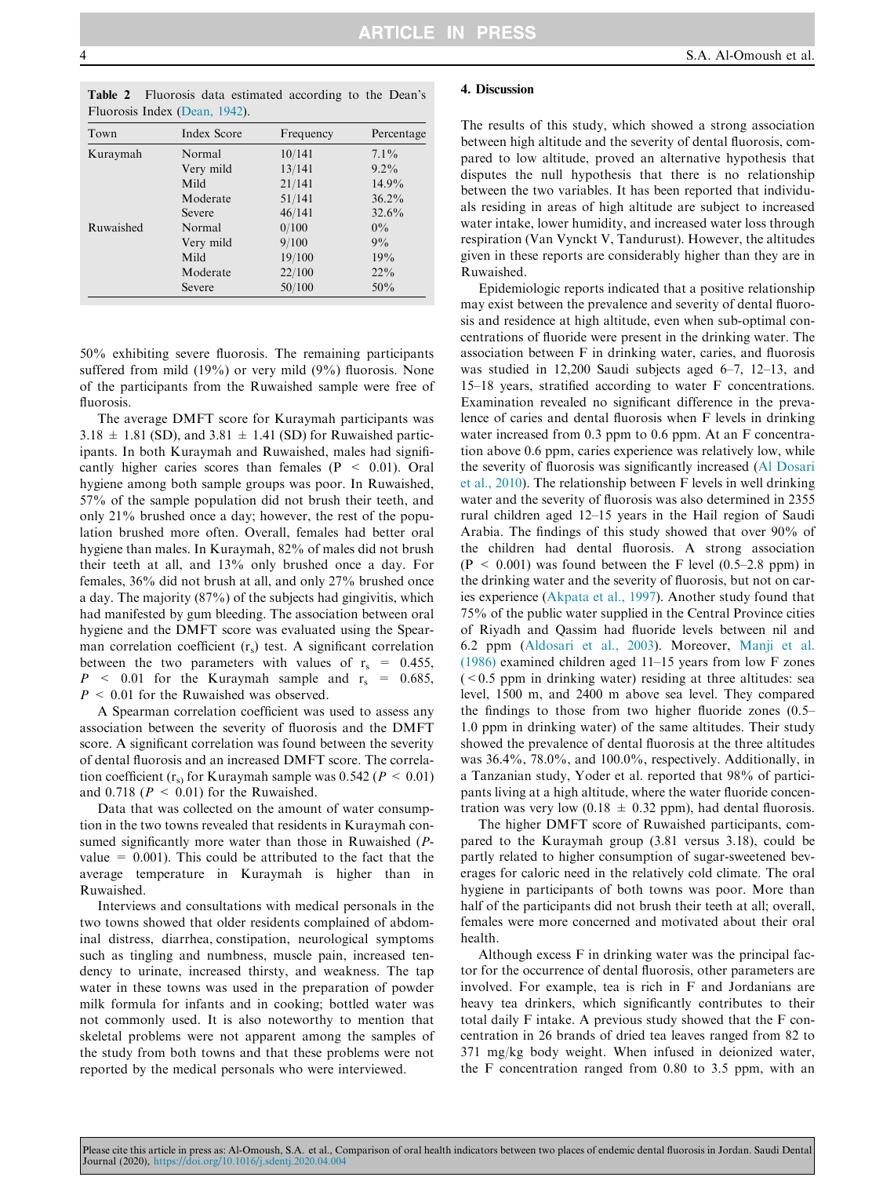<span id="page-3-0"></span>

|  |                               |  | <b>Table 2</b> Fluorosis data estimated according to the Dean's |  |  |
|--|-------------------------------|--|-----------------------------------------------------------------|--|--|
|  | Fluorosis Index (Dean, 1942). |  |                                                                 |  |  |

| Town      | <b>Index Score</b> | Frequency | Percentage |
|-----------|--------------------|-----------|------------|
| Kuraymah  | Normal             | 10/141    | $7.1\%$    |
|           | Very mild          | 13/141    | $9.2\%$    |
|           | Mild               | 21/141    | 14.9%      |
|           | Moderate           | 51/141    | $36.2\%$   |
|           | Severe             | 46/141    | $32.6\%$   |
| Ruwaished | Normal             | 0/100     | $0\%$      |
|           | Very mild          | 9/100     | 9%         |
|           | Mild               | 19/100    | 19%        |
|           | Moderate           | 22/100    | $22\%$     |
|           | Severe             | 50/100    | 50%        |

50% exhibiting severe fluorosis. The remaining participants suffered from mild (19%) or very mild (9%) fluorosis. None of the participants from the Ruwaished sample were free of fluorosis.

The average DMFT score for Kuraymah participants was  $3.18 \pm 1.81$  (SD), and  $3.81 \pm 1.41$  (SD) for Ruwaished participants. In both Kuraymah and Ruwaished, males had significantly higher caries scores than females ( $P < 0.01$ ). Oral hygiene among both sample groups was poor. In Ruwaished, 57% of the sample population did not brush their teeth, and only 21% brushed once a day; however, the rest of the population brushed more often. Overall, females had better oral hygiene than males. In Kuraymah, 82% of males did not brush their teeth at all, and 13% only brushed once a day. For females, 36% did not brush at all, and only 27% brushed once a day. The majority (87%) of the subjects had gingivitis, which had manifested by gum bleeding. The association between oral hygiene and the DMFT score was evaluated using the Spearman correlation coefficient  $(r<sub>s</sub>)$  test. A significant correlation between the two parameters with values of  $r_s = 0.455$ ,  $P \sim 0.01$  for the Kuraymah sample and  $r_s = 0.685$ ,  $P \leq 0.01$  for the Ruwaished was observed.

A Spearman correlation coefficient was used to assess any association between the severity of fluorosis and the DMFT score. A significant correlation was found between the severity of dental fluorosis and an increased DMFT score. The correlation coefficient ( $r_s$ ) for Kuraymah sample was 0.542 ( $P < 0.01$ ) and 0.718 ( $P < 0.01$ ) for the Ruwaished.

Data that was collected on the amount of water consumption in the two towns revealed that residents in Kuraymah consumed significantly more water than those in Ruwaished (Pvalue  $= 0.001$ ). This could be attributed to the fact that the average temperature in Kuraymah is higher than in Ruwaished.

Interviews and consultations with medical personals in the two towns showed that older residents complained of abdominal distress, diarrhea, constipation, neurological symptoms such as tingling and numbness, muscle pain, increased tendency to urinate, increased thirsty, and weakness. The tap water in these towns was used in the preparation of powder milk formula for infants and in cooking; bottled water was not commonly used. It is also noteworthy to mention that skeletal problems were not apparent among the samples of the study from both towns and that these problems were not reported by the medical personals who were interviewed.

#### 4. Discussion

The results of this study, which showed a strong association between high altitude and the severity of dental fluorosis, compared to low altitude, proved an alternative hypothesis that disputes the null hypothesis that there is no relationship between the two variables. It has been reported that individuals residing in areas of high altitude are subject to increased water intake, lower humidity, and increased water loss through respiration (Van Vynckt V, Tandurust). However, the altitudes given in these reports are considerably higher than they are in Ruwaished.

Epidemiologic reports indicated that a positive relationship may exist between the prevalence and severity of dental fluorosis and residence at high altitude, even when sub-optimal concentrations of fluoride were present in the drinking water. The association between F in drinking water, caries, and fluorosis was studied in 12,200 Saudi subjects aged 6–7, 12–13, and 15–18 years, stratified according to water F concentrations. Examination revealed no significant difference in the prevalence of caries and dental fluorosis when F levels in drinking water increased from 0.3 ppm to 0.6 ppm. At an F concentration above 0.6 ppm, caries experience was relatively low, while the severity of fluorosis was significantly increased ([Al Dosari](#page-4-0) [et al., 2010](#page-4-0)). The relationship between F levels in well drinking water and the severity of fluorosis was also determined in 2355 rural children aged 12–15 years in the Hail region of Saudi Arabia. The findings of this study showed that over 90% of the children had dental fluorosis. A strong association  $(P < 0.001)$  was found between the F level  $(0.5-2.8$  ppm) in the drinking water and the severity of fluorosis, but not on caries experience ([Akpata et al., 1997](#page-4-0)). Another study found that 75% of the public water supplied in the Central Province cities of Riyadh and Qassim had fluoride levels between nil and 6.2 ppm [\(Aldosari et al., 2003](#page-4-0)). Moreover, [Manji et al.](#page-5-0) [\(1986\)](#page-5-0) examined children aged 11–15 years from low F zones  $( $0.5$  ppm in drinking water) residing at three altitudes: sea$ level, 1500 m, and 2400 m above sea level. They compared the findings to those from two higher fluoride zones (0.5– 1.0 ppm in drinking water) of the same altitudes. Their study showed the prevalence of dental fluorosis at the three altitudes was 36.4%, 78.0%, and 100.0%, respectively. Additionally, in a Tanzanian study, Yoder et al. reported that 98% of participants living at a high altitude, where the water fluoride concentration was very low (0.18  $\pm$  0.32 ppm), had dental fluorosis.

The higher DMFT score of Ruwaished participants, compared to the Kuraymah group (3.81 versus 3.18), could be partly related to higher consumption of sugar-sweetened beverages for caloric need in the relatively cold climate. The oral hygiene in participants of both towns was poor. More than half of the participants did not brush their teeth at all; overall, females were more concerned and motivated about their oral health.

Although excess F in drinking water was the principal factor for the occurrence of dental fluorosis, other parameters are involved. For example, tea is rich in F and Jordanians are heavy tea drinkers, which significantly contributes to their total daily F intake. A previous study showed that the F concentration in 26 brands of dried tea leaves ranged from 82 to 371 mg/kg body weight. When infused in deionized water, the F concentration ranged from 0.80 to 3.5 ppm, with an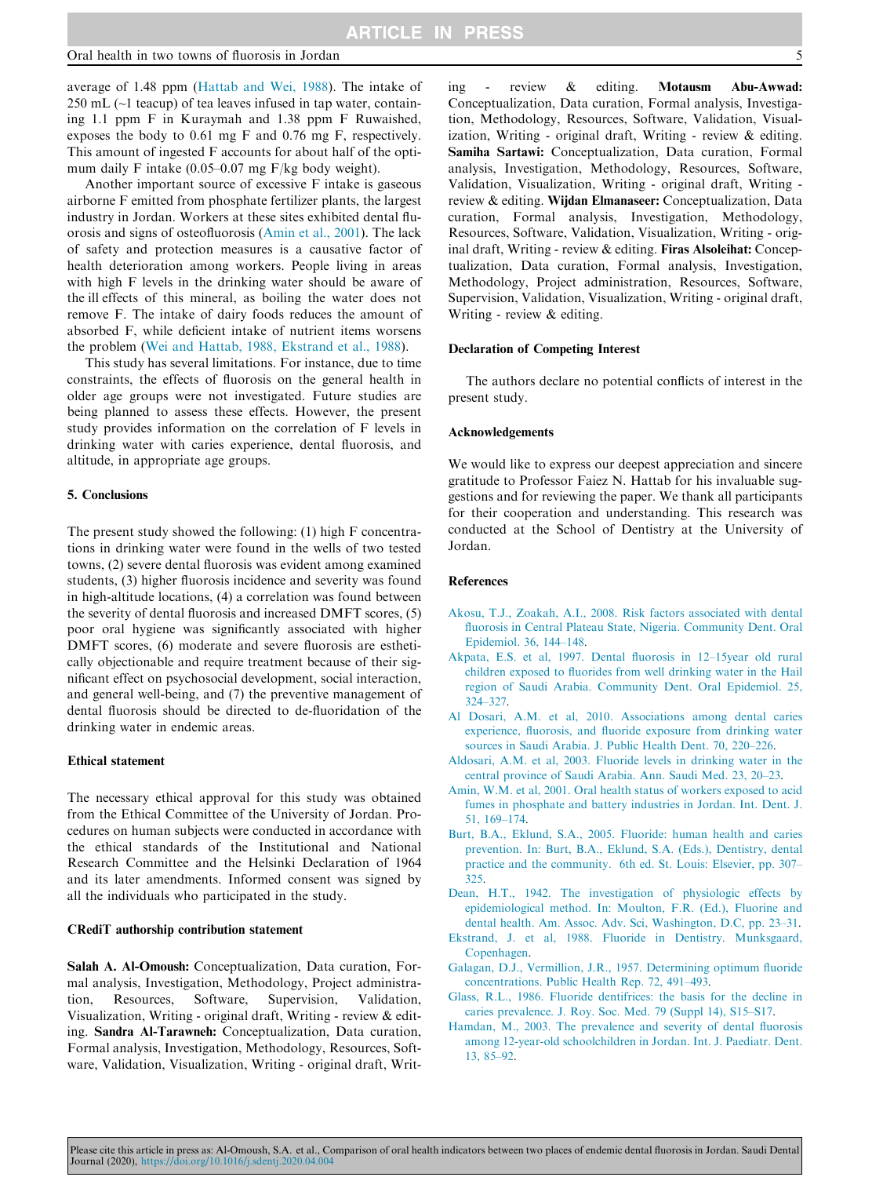<span id="page-4-0"></span>average of 1.48 ppm [\(Hattab and Wei, 1988\)](#page-5-0). The intake of 250 mL (~1 teacup) of tea leaves infused in tap water, containing 1.1 ppm F in Kuraymah and 1.38 ppm F Ruwaished, exposes the body to 0.61 mg F and 0.76 mg F, respectively. This amount of ingested F accounts for about half of the optimum daily F intake (0.05–0.07 mg F/kg body weight).

Another important source of excessive F intake is gaseous airborne F emitted from phosphate fertilizer plants, the largest industry in Jordan. Workers at these sites exhibited dental fluorosis and signs of osteofluorosis (Amin et al., 2001). The lack of safety and protection measures is a causative factor of health deterioration among workers. People living in areas with high F levels in the drinking water should be aware of the ill effects of this mineral, as boiling the water does not remove F. The intake of dairy foods reduces the amount of absorbed F, while deficient intake of nutrient items worsens the problem [\(Wei and Hattab, 1988, Ekstrand et al., 1988\)](#page-5-0).

This study has several limitations. For instance, due to time constraints, the effects of fluorosis on the general health in older age groups were not investigated. Future studies are being planned to assess these effects. However, the present study provides information on the correlation of F levels in drinking water with caries experience, dental fluorosis, and altitude, in appropriate age groups.

#### 5. Conclusions

The present study showed the following: (1) high F concentrations in drinking water were found in the wells of two tested towns, (2) severe dental fluorosis was evident among examined students, (3) higher fluorosis incidence and severity was found in high-altitude locations, (4) a correlation was found between the severity of dental fluorosis and increased DMFT scores, (5) poor oral hygiene was significantly associated with higher DMFT scores, (6) moderate and severe fluorosis are esthetically objectionable and require treatment because of their significant effect on psychosocial development, social interaction, and general well-being, and (7) the preventive management of dental fluorosis should be directed to de-fluoridation of the drinking water in endemic areas.

## Ethical statement

The necessary ethical approval for this study was obtained from the Ethical Committee of the University of Jordan. Procedures on human subjects were conducted in accordance with the ethical standards of the Institutional and National Research Committee and the Helsinki Declaration of 1964 and its later amendments. Informed consent was signed by all the individuals who participated in the study.

#### CRediT authorship contribution statement

Salah A. Al-Omoush: Conceptualization, Data curation, Formal analysis, Investigation, Methodology, Project administration, Resources, Software, Supervision, Validation, Visualization, Writing - original draft, Writing - review & editing. Sandra Al-Tarawneh: Conceptualization, Data curation, Formal analysis, Investigation, Methodology, Resources, Software, Validation, Visualization, Writing - original draft, Writing - review & editing. Motausm Abu-Awwad: Conceptualization, Data curation, Formal analysis, Investigation, Methodology, Resources, Software, Validation, Visualization, Writing - original draft, Writing - review & editing. Samiha Sartawi: Conceptualization, Data curation, Formal analysis, Investigation, Methodology, Resources, Software, Validation, Visualization, Writing - original draft, Writing review & editing. Wijdan Elmanaseer: Conceptualization, Data curation, Formal analysis, Investigation, Methodology, Resources, Software, Validation, Visualization, Writing - original draft, Writing - review & editing. Firas Alsoleihat: Conceptualization, Data curation, Formal analysis, Investigation, Methodology, Project administration, Resources, Software, Supervision, Validation, Visualization, Writing - original draft, Writing - review & editing.

## Declaration of Competing Interest

The authors declare no potential conflicts of interest in the present study.

#### Acknowledgements

We would like to express our deepest appreciation and sincere gratitude to Professor Faiez N. Hattab for his invaluable suggestions and for reviewing the paper. We thank all participants for their cooperation and understanding. This research was conducted at the School of Dentistry at the University of Jordan.

#### References

- [Akosu, T.J., Zoakah, A.I., 2008. Risk factors associated with dental](http://refhub.elsevier.com/S1013-9052(20)30033-X/h0005) [fluorosis in Central Plateau State, Nigeria. Community Dent. Oral](http://refhub.elsevier.com/S1013-9052(20)30033-X/h0005) [Epidemiol. 36, 144–148](http://refhub.elsevier.com/S1013-9052(20)30033-X/h0005).
- [Akpata, E.S. et al, 1997. Dental fluorosis in 12–15year old rural](http://refhub.elsevier.com/S1013-9052(20)30033-X/h0010) [children exposed to fluorides from well drinking water in the Hail](http://refhub.elsevier.com/S1013-9052(20)30033-X/h0010) [region of Saudi Arabia. Community Dent. Oral Epidemiol. 25,](http://refhub.elsevier.com/S1013-9052(20)30033-X/h0010) [324–327.](http://refhub.elsevier.com/S1013-9052(20)30033-X/h0010)
- [Al Dosari, A.M. et al, 2010. Associations among dental caries](http://refhub.elsevier.com/S1013-9052(20)30033-X/h0020) [experience, fluorosis, and fluoride exposure from drinking water](http://refhub.elsevier.com/S1013-9052(20)30033-X/h0020) [sources in Saudi Arabia. J. Public Health Dent. 70, 220–226.](http://refhub.elsevier.com/S1013-9052(20)30033-X/h0020)
- [Aldosari, A.M. et al, 2003. Fluoride levels in drinking water in the](http://refhub.elsevier.com/S1013-9052(20)30033-X/h0025) [central province of Saudi Arabia. Ann. Saudi Med. 23, 20–23.](http://refhub.elsevier.com/S1013-9052(20)30033-X/h0025)
- [Amin, W.M. et al, 2001. Oral health status of workers exposed to acid](http://refhub.elsevier.com/S1013-9052(20)30033-X/h0030) [fumes in phosphate and battery industries in Jordan. Int. Dent. J.](http://refhub.elsevier.com/S1013-9052(20)30033-X/h0030) [51, 169–174](http://refhub.elsevier.com/S1013-9052(20)30033-X/h0030).
- [Burt, B.A., Eklund, S.A., 2005. Fluoride: human health and caries](http://refhub.elsevier.com/S1013-9052(20)30033-X/h0045) [prevention. In: Burt, B.A., Eklund, S.A. \(Eds.\), Dentistry, dental](http://refhub.elsevier.com/S1013-9052(20)30033-X/h0045) [practice and the community. 6th ed. St. Louis: Elsevier, pp. 307–](http://refhub.elsevier.com/S1013-9052(20)30033-X/h0045) [325.](http://refhub.elsevier.com/S1013-9052(20)30033-X/h0045)
- [Dean, H.T., 1942. The investigation of physiologic effects by](http://refhub.elsevier.com/S1013-9052(20)30033-X/h0050) [epidemiological method. In: Moulton, F.R. \(Ed.\), Fluorine and](http://refhub.elsevier.com/S1013-9052(20)30033-X/h0050) [dental health. Am. Assoc. Adv. Sci, Washington, D.C, pp. 23–31.](http://refhub.elsevier.com/S1013-9052(20)30033-X/h0050)
- [Ekstrand, J. et al, 1988. Fluoride in Dentistry. Munksgaard,](http://refhub.elsevier.com/S1013-9052(20)30033-X/h0055) [Copenhagen](http://refhub.elsevier.com/S1013-9052(20)30033-X/h0055).
- [Galagan, D.J., Vermillion, J.R., 1957. Determining optimum fluoride](http://refhub.elsevier.com/S1013-9052(20)30033-X/h0060) [concentrations. Public Health Rep. 72, 491–493.](http://refhub.elsevier.com/S1013-9052(20)30033-X/h0060)
- [Glass, R.L., 1986. Fluoride dentifrices: the basis for the decline in](http://refhub.elsevier.com/S1013-9052(20)30033-X/h0065) [caries prevalence. J. Roy. Soc. Med. 79 \(Suppl 14\), S15–S17](http://refhub.elsevier.com/S1013-9052(20)30033-X/h0065).
- [Hamdan, M., 2003. The prevalence and severity of dental fluorosis](http://refhub.elsevier.com/S1013-9052(20)30033-X/h0070) [among 12-year-old schoolchildren in Jordan. Int. J. Paediatr. Dent.](http://refhub.elsevier.com/S1013-9052(20)30033-X/h0070) [13, 85–92.](http://refhub.elsevier.com/S1013-9052(20)30033-X/h0070)